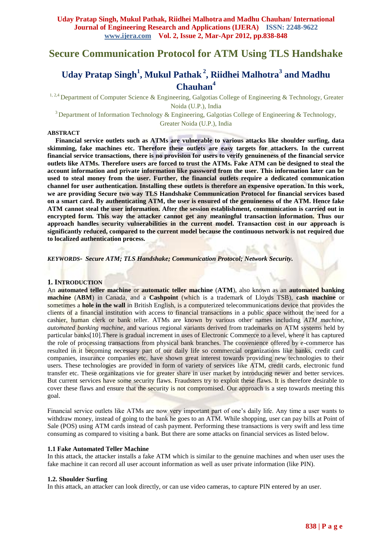# **Secure Communication Protocol for ATM Using TLS Handshake**

# **Uday Pratap Singh<sup>1</sup> , Mukul Pathak <sup>2</sup> , Riidhei Malhotra<sup>3</sup> and Madhu Chauhan<sup>4</sup>**

<sup>1, 2,4</sup> Department of Computer Science & Engineering, Galgotias College of Engineering & Technology, Greater Noida (U.P.), India

<sup>3</sup>Department of Information Technology & Engineering, Galgotias College of Engineering & Technology, Greater Noida (U.P.), India

#### **ABSTRACT**

**Financial service outlets such as ATMs are vulnerable to various attacks like shoulder surfing, data skimming, fake machines etc. Therefore these outlets are easy targets for attackers. In the current financial service transactions, there is no provision for users to verify genuineness of the financial service outlets like ATMs. Therefore users are forced to trust the ATMs. Fake ATM can be designed to steal the account information and private information like password from the user. This information later can be used to steal money from the user. Further, the financial outlets require a dedicated communication channel for user authentication. Installing these outlets is therefore an expensive operation. In this work, we are providing Secure two way TLS Handshake Communication Protocol for financial services based on a smart card. By authenticating ATM, the user is ensured of the genuineness of the ATM. Hence fake ATM cannot steal the user information. After the session establishment, communication is carried out in encrypted form. This way the attacker cannot get any meaningful transaction information. Thus our approach handles security vulnerabilities in the current model. Transaction cost in our approach is significantly reduced, compared to the current model because the continuous network is not required due to localized authentication process.**

*KEYWORDS- Secure ATM; TLS Handshake; Communication Protocol; Network Security.*

#### **1. INTRODUCTION**

An **automated teller machine** or **automatic teller machine** (**ATM**), also known as an **automated banking machine** (**ABM**) in Canada, and a **Cashpoint** (which is a trademark of Lloyds TSB), **cash machine** or sometimes a **hole in the wall** in British English, is a computerized telecommunications device that provides the clients of a financial institution with access to financial transactions in a public space without the need for a cashier, human clerk or bank teller. ATMs are known by various other names including *ATM machine*, *automated banking machine*, and various regional variants derived from trademarks on ATM systems held by particular banks[10].There is gradual increment in uses of Electronic Commerce to a level, where it has captured the role of processing transactions from physical bank branches. The convenience offered by e-commerce has resulted in it becoming necessary part of our daily life so commercial organizations like banks, credit card companies, insurance companies etc. have shown great interest towards providing new technologies to their users. These technologies are provided in form of variety of services like ATM, credit cards, electronic fund transfer etc. These organizations vie for greater share in user market by introducing newer and better services. But current services have some security flaws. Fraudsters try to exploit these flaws. It is therefore desirable to cover these flaws and ensure that the security is not compromised. Our approach is a step towards meeting this goal.

Financial service outlets like ATMs are now very important part of one"s daily life. Any time a user wants to withdraw money, instead of going to the bank he goes to an ATM. While shopping, user can pay bills at Point of Sale (POS) using ATM cards instead of cash payment. Performing these transactions is very swift and less time consuming as compared to visiting a bank. But there are some attacks on financial services as listed below.

#### **1.1 Fake Automated Teller Machine**

In this attack, the attacker installs a fake ATM which is similar to the genuine machines and when user uses the fake machine it can record all user account information as well as user private information (like PIN).

#### **1.2. Shoulder Surfing**

In this attack, an attacker can look directly, or can use video cameras, to capture PIN entered by an user.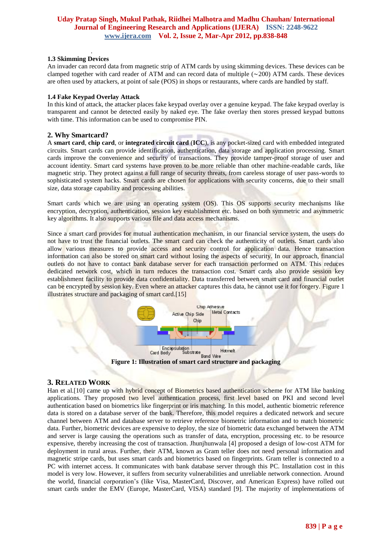#### . **1.3 Skimming Devices**

An invader can record data from magnetic strip of ATM cards by using skimming devices. These devices can be clamped together with card reader of ATM and can record data of multiple (∼200) ATM cards. These devices are often used by attackers, at point of sale (POS) in shops or restaurants, where cards are handled by staff.

## **1.4 Fake Keypad Overlay Attack**

In this kind of attack, the attacker places fake keypad overlay over a genuine keypad. The fake keypad overlay is transparent and cannot be detected easily by naked eye. The fake overlay then stores pressed keypad buttons with time. This information can be used to compromise PIN.

## **2. Why Smartcard?**

A **smart card**, **chip card**, or **integrated circuit card** (**ICC**), is any pocket-sized card with embedded integrated circuits. Smart cards can provide identification, authentication, data storage and application processing. Smart cards improve the convenience and security of transactions. They provide tamper-proof storage of user and account identity. Smart card systems have proven to be more reliable than other machine-readable cards, like magnetic strip. They protect against a full range of security threats, from careless storage of user pass-words to sophisticated system hacks. Smart cards are chosen for applications with security concerns, due to their small size, data storage capability and processing abilities.

Smart cards which we are using an operating system (OS). This OS supports security mechanisms like encryption, decryption, authentication, session key establishment etc. based on both symmetric and asymmetric key algorithms. It also supports various file and data access mechanisms.

Since a smart card provides for mutual authentication mechanism, in our financial service system, the users do not have to trust the financial outlets. The smart card can check the authenticity of outlets. Smart cards also allow various measures to provide access and security control for application data. Hence transaction information can also be stored on smart card without losing the aspects of security. In our approach, financial outlets do not have to contact bank database server for each transaction performed on ATM. This reduces dedicated network cost, which in turn reduces the transaction cost. Smart cards also provide session key establishment facility to provide data confidentiality. Data transferred between smart card and financial outlet can be encrypted by session key. Even where an attacker captures this data, he cannot use it for forgery. Figure 1 illustrates structure and packaging of smart card.[15]



# **3. RELATED WORK**

Han et al.[10] came up with hybrid concept of Biometrics based authentication scheme for ATM like banking applications. They proposed two level authentication process, first level based on PKI and second level authentication based on biometrics like fingerprint or iris matching. In this model, authentic biometric reference data is stored on a database server of the bank. Therefore, this model requires a dedicated network and secure channel between ATM and database server to retrieve reference biometric information and to match biometric data. Further, biometric devices are expensive to deploy, the size of biometric data exchanged between the ATM and server is large causing the operations such as transfer of data, encryption, processing etc. to be resource expensive, thereby increasing the cost of transaction. Jhunjhunwala [4] proposed a design of low-cost ATM for deployment in rural areas. Further, their ATM, known as Gram teller does not need personal information and magnetic stripe cards, but uses smart cards and biometrics based on fingerprints. Gram teller is connected to a PC with internet access. It communicates with bank database server through this PC. Installation cost in this model is very low. However, it suffers from security vulnerabilities and unreliable network connection. Around the world, financial corporation"s (like Visa, MasterCard, Discover, and American Express) have rolled out smart cards under the EMV (Europe, MasterCard, VISA) standard [9]. The majority of implementations of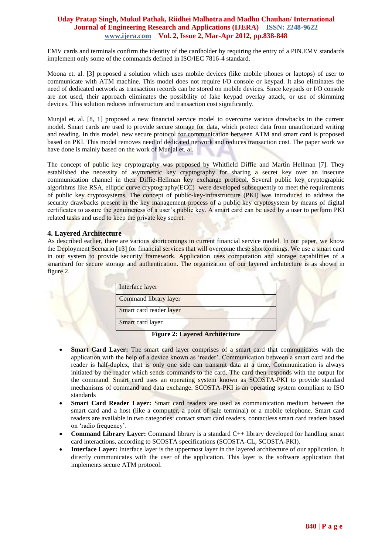EMV cards and terminals confirm the identity of the cardholder by requiring the entry of a PIN.EMV standards implement only some of the commands defined in ISO/IEC 7816-4 standard.

Moona et. al. [3] proposed a solution which uses mobile devices (like mobile phones or laptops) of user to communicate with ATM machine. This model does not require I/O console or keypad. It also eliminates the need of dedicated network as transaction records can be stored on mobile devices. Since keypads or I/O console are not used, their approach eliminates the possibility of fake keypad overlay attack, or use of skimming devices. This solution reduces infrastructure and transaction cost significantly.

Munjal et. al. [8, 1] proposed a new financial service model to overcome various drawbacks in the current model. Smart cards are used to provide secure storage for data, which protect data from unauthorized writing and reading. In this model, new secure protocol for communication between ATM and smart card is proposed based on PKI. This model removes need of dedicated network and reduces transaction cost. The paper work we have done is mainly based on the work of Munjal et. al.

The concept of public key cryptography was proposed by Whitfield Diffie and Martin Hellman [7]. They established the necessity of asymmetric key cryptography for sharing a secret key over an insecure communication channel in their Diffie-Hellman key exchange protocol. Several public key cryptographic algorithms like RSA, elliptic curve cryptography(ECC) were developed subsequently to meet the requirements of public key cryptosystems. The concept of public-key-infrastructure (PKI) was introduced to address the security drawbacks present in the key management process of a public key cryptosystem by means of digital certificates to assure the genuineness of a user"s public key. A smart card can be used by a user to perform PKI related tasks and used to keep the private key secret.

## **4. Layered Architecture**

As described earlier, there are various shortcomings in current financial service model. In our paper, we know the Deployment Scenario [13] for financial services that will overcome these shortcomings. We use a smart card in our system to provide security framework. Application uses computation and storage capabilities of a smartcard for secure storage and authentication. The organization of our layered architecture is as shown in figure 2.



**Figure 2: Layered Architecture**

- **Smart Card Layer:** The smart card layer comprises of a smart card that communicates with the application with the help of a device known as "reader". Communication between a smart card and the reader is half-duplex, that is only one side can transmit data at a time. Communication is always initiated by the reader which sends commands to the card. The card then responds with the output for the command. Smart card uses an operating system known as SCOSTA-PKI to provide standard mechanisms of command and data exchange. SCOSTA-PKI is an operating system compliant to ISO standards
- **Smart Card Reader Layer:** Smart card readers are used as communication medium between the smart card and a host (like a computer, a point of sale terminal) or a mobile telephone. Smart card readers are available in two categories: contact smart card readers, contactless smart card readers based on "radio frequency".
- **Command Library Layer:** Command library is a standard C++ library developed for handling smart card interactions, according to SCOSTA specifications (SCOSTA-CL, SCOSTA-PKI).
- **Interface Layer:** Interface layer is the uppermost layer in the layered architecture of our application. It directly communicates with the user of the application. This layer is the software application that implements secure ATM protocol.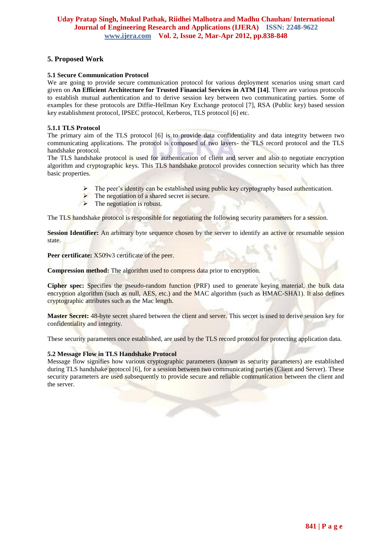# **5. Proposed Work**

## **5.1 Secure Communication Protocol**

We are going to provide secure communication protocol for various deployment scenarios using smart card given on **An Efficient Architecture for Trusted Financial Services in ATM [14]**. There are various protocols to establish mutual authentication and to derive session key between two communicating parties. Some of examples for these protocols are Diffie-Hellman Key Exchange protocol [7], RSA (Public key) based session key establishment protocol, IPSEC protocol, Kerberos, TLS protocol [6] etc.

## **5.1.1 TLS Protocol**

The primary aim of the TLS protocol [6] is to provide data confidentiality and data integrity between two communicating applications. The protocol is composed of two layers- the TLS record protocol and the TLS handshake protocol.

The TLS handshake protocol is used for authentication of client and server and also to negotiate encryption algorithm and cryptographic keys. This TLS handshake protocol provides connection security which has three basic properties.

- The peer"s identity can be established using public key cryptography based authentication.
- The negotiation of a shared secret is secure.
- $\triangleright$  The negotiation is robust.

The TLS handshake protocol is responsible for negotiating the following security parameters for a session.

**Session Identifier:** An arbitrary byte sequence chosen by the server to identify an active or resumable session state.

Peer certificate: X509v3 certificate of the peer.

**Compression method:** The algorithm used to compress data prior to encryption.

**Cipher spec:** Specifies the pseudo-random function (PRF) used to generate keying material, the bulk data encryption algorithm (such as null, AES, etc.) and the MAC algorithm (such as HMAC-SHA1). It also defines cryptographic attributes such as the Mac length.

**Master Secret:** 48-byte secret shared between the client and server. This secret is used to derive session key for confidentiality and integrity.

These security parameters once established, are used by the TLS record protocol for protecting application data.

## **5.2 Message Flow in TLS Handshake Protocol**

Message flow signifies how various cryptographic parameters (known as security parameters) are established during TLS handshake protocol [6], for a session between two communicating parties (Client and Server). These security parameters are used subsequently to provide secure and reliable communication between the client and the server.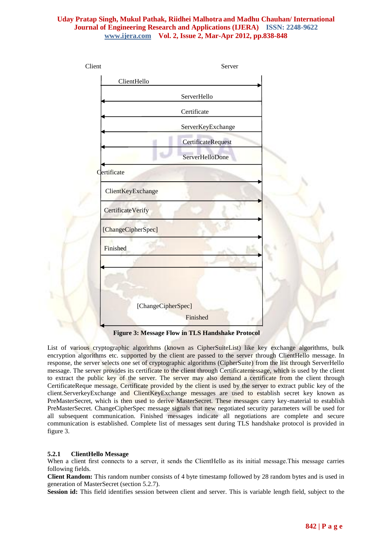

**Figure 3: Message Flow in TLS Handshake Protocol**

List of various cryptographic algorithms (known as CipherSuiteList) like key exchange algorithms, bulk encryption algorithms etc. supported by the client are passed to the server through ClientHello message. In response, the server selects one set of cryptographic algorithms (CipherSuite) from the list through ServerHello message. The server provides its certificate to the client through Certificatemessage, which is used by the client to extract the public key of the server. The server may also demand a certificate from the client through CertificateReque message. Certificate provided by the client is used by the server to extract public key of the client.ServerkeyExchange and ClientKeyExchange messages are used to establish secret key known as PreMasterSecret, which is then used to derive MasterSecret. These messages carry key-material to establish PreMasterSecret. ChangeCipherSpec message signals that new negotiated security parameters will be used for all subsequent communication. Finished messages indicate all negotiations are complete and secure communication is established. Complete list of messages sent during TLS handshake protocol is provided in figure 3.

## **5.2.1 ClientHello Message**

When a client first connects to a server, it sends the ClientHello as its initial message. This message carries following fields.

**Client Random:** This random number consists of 4 byte timestamp followed by 28 random bytes and is used in generation of MasterSecret (section 5.2.7).

**Session id:** This field identifies session between client and server. This is variable length field, subject to the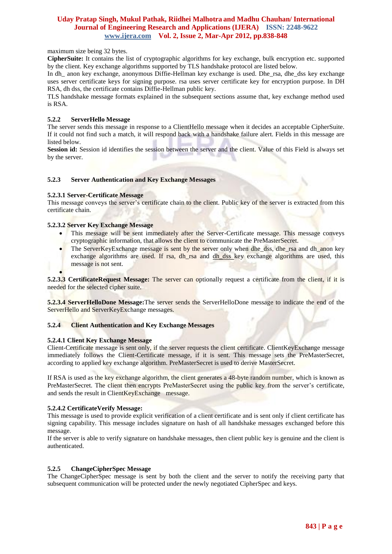maximum size being 32 bytes.

**CipherSuite:** It contains the list of cryptographic algorithms for key exchange, bulk encryption etc. supported by the client. Key exchange algorithms supported by TLS handshake protocol are listed below.

In dh\_ anon key exchange, anonymous Diffie-Hellman key exchange is used. Dhe\_rsa, dhe\_dss key exchange uses server certificate keys for signing purpose. rsa uses server certificate key for encryption purpose. In DH RSA, dh dss, the certificate contains Diffie-Hellman public key.

TLS handshake message formats explained in the subsequent sections assume that, key exchange method used is RSA.

## **5.2.2 ServerHello Message**

The server sends this message in response to a ClientHello message when it decides an acceptable CipherSuite. If it could not find such a match, it will respond back with a handshake failure alert. Fields in this message are listed below.

**Session id:** Session id identifies the session between the server and the client. Value of this Field is always set by the server.

## **5.2.3 Server Authentication and Key Exchange Messages**

#### **5.2.3.1 Server-Certificate Message**

This message conveys the server's certificate chain to the client. Public key of the server is extracted from this certificate chain.

#### **5.2.3.2 Server Key Exchange Message**

- This message will be sent immediately after the Server-Certificate message. This message conveys cryptographic information, that allows the client to communicate the PreMasterSecret.
- The ServerKeyExchange message is sent by the server only when dhe\_dss, dhe\_rsa and dh\_anon key exchange algorithms are used. If rsa, dh rsa and dh dss key exchange algorithms are used, this message is not sent.

 $\bullet$ **5.2.3.3 CertificateRequest Message:** The server can optionally request a certificate from the client, if it is needed for the selected cipher suite.

**5.2.3.4 ServerHelloDone Message:**The server sends the ServerHelloDone message to indicate the end of the ServerHello and ServerKeyExchange messages.

#### **5.2.4 Client Authentication and Key Exchange Messages**

#### **5.2.4.1 Client Key Exchange Message**

Client-Certificate message is sent only, if the server requests the client certificate. ClientKeyExchange message immediately follows the Client-Certificate message, if it is sent. This message sets the PreMasterSecret, according to applied key exchange algorithm. PreMasterSecret is used to derive MasterSecret.

If RSA is used as the key exchange algorithm, the client generates a 48-byte random number, which is known as PreMasterSecret. The client then encrypts PreMasterSecret using the public key from the server"s certificate, and sends the result in ClientKeyExchange message.

#### **5.2.4.2 CertificateVerify Message:**

This message is used to provide explicit verification of a client certificate and is sent only if client certificate has signing capability. This message includes signature on hash of all handshake messages exchanged before this message.

If the server is able to verify signature on handshake messages, then client public key is genuine and the client is authenticated.

## **5.2.5 ChangeCipherSpec Message**

The ChangeCipherSpec message is sent by both the client and the server to notify the receiving party that subsequent communication will be protected under the newly negotiated CipherSpec and keys.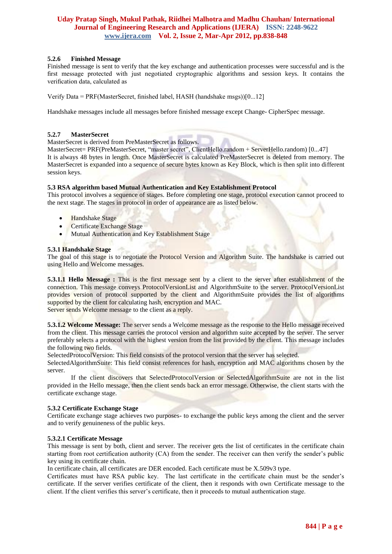## **5.2.6 Finished Message**

Finished message is sent to verify that the key exchange and authentication processes were successful and is the first message protected with just negotiated cryptographic algorithms and session keys. It contains the verification data, calculated as

Verify Data = PRF(MasterSecret, finished label, HASH (handshake msgs))[0...12]

Handshake messages include all messages before finished message except Change- CipherSpec message.

#### **5.2.7 MasterSecret**

MasterSecret is derived from PreMasterSecret as follows.

MasterSecret= PRF(PreMasterSecret, "master secret", ClientHello.random + ServerHello.random) [0...47] It is always 48 bytes in length. Once MasterSecret is calculated PreMasterSecret is deleted from memory. The MasterSecret is expanded into a sequence of secure bytes known as Key Block, which is then split into different session keys.

#### **5.3 RSA algorithm based Mutual Authentication and Key Establishment Protocol**

This protocol involves a sequence of stages. Before completing one stage, protocol execution cannot proceed to the next stage. The stages in protocol in order of appearance are as listed below.

- Handshake Stage
- Certificate Exchange Stage
- Mutual Authentication and Key Establishment Stage

#### **5.3.1 Handshake Stage**

The goal of this stage is to negotiate the Protocol Version and Algorithm Suite. The handshake is carried out using Hello and Welcome messages.

**5.3.1.1 Hello Message :** This is the first message sent by a client to the server after establishment of the connection. This message conveys ProtocolVersionList and AlgorithmSuite to the server. ProtocolVersionList provides version of protocol supported by the client and AlgorithmSuite provides the list of algorithms supported by the client for calculating hash, encryption and MAC. Server sends Welcome message to the client as a reply.

**5.3.1.2 Welcome Message:** The server sends a Welcome message as the response to the Hello message received from the client. This message carries the protocol version and algorithm suite accepted by the server. The server preferably selects a protocol with the highest version from the list provided by the client. This message includes the following two fields.

SelectedProtocolVersion: This field consists of the protocol version that the server has selected.

SelectedAlgorithmSuite: This field consist references for hash, encryption and MAC algorithms chosen by the server.

If the client discovers that SelectedProtocolVersion or SelectedAlgorithmSuite are not in the list provided in the Hello message, then the client sends back an error message. Otherwise, the client starts with the certificate exchange stage.

#### **5.3.2 Certificate Exchange Stage**

Certificate exchange stage achieves two purposes- to exchange the public keys among the client and the server and to verify genuineness of the public keys.

#### **5.3.2.1 Certificate Message**

This message is sent by both, client and server. The receiver gets the list of certificates in the certificate chain starting from root certification authority (CA) from the sender. The receiver can then verify the sender's public key using its certificate chain.

In certificate chain, all certificates are DER encoded. Each certificate must be X.509v3 type.

Certificates must have RSA public key. The last certificate in the certificate chain must be the sender"s certificate. If the server verifies certificate of the client, then it responds with own Certificate message to the client. If the client verifies this server"s certificate, then it proceeds to mutual authentication stage.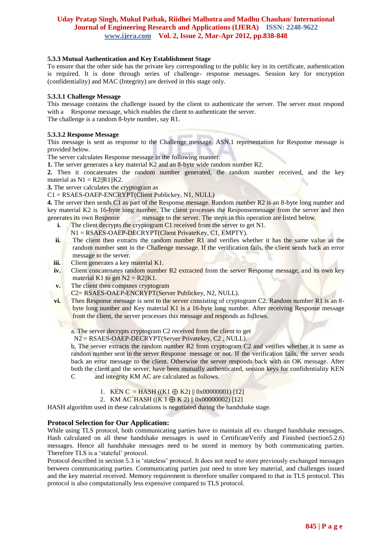## **5.3.3 Mutual Authentication and Key Establishment Stage**

To ensure that the other side has the private key corresponding to the public key in its certificate, authentication is required. It is done through series of challenge- response messages. Session key for encryption (confidentiality) and MAC (Integrity) are derived in this stage only.

## **5.3.3.1 Challenge Message**

This message contains the challenge issued by the client to authenticate the server. The server must respond with a Response message, which enables the client to authenticate the server. The challenge is a random 8-byte number, say R1.

#### **5.3.3.2 Response Message**

This message is sent as response to the Challenge message. ASN.1 representation for Response message is provided below.

The server calculates Response message in the following manner.

**1.** The server generates a key material K2 and an 8-byte wide random number R2.

**2.** Then it concatenates the random number generated, the random number received, and the key material as  $N1 = R2||R1||K2$ .

**3.** The server calculates the cryptogram as

C1 = RSAES-OAEP-ENCRYPT(Client Publickey, N1, NULL)

**4.** The server then sends C1 as part of the Response message. Random number R2 is an 8-byte long number and key material K2 is 16-byte long number. The client processes the Responsemessage from the server and then generates its own Response message to the server. The steps in this operation are listed below.

- **i.** The client decrypts the cryptogram C1 received from the server to get N1.
	- $N1 = RSAES-OAEP-DECRYPT(Client PrivateKey, C1, EMPTY).$
- **ii.** The client then extracts the random number R1 and verifies whether it has the same value as the random number sent in the Challenge message. If the verification fails, the client sends back an error message to the server.
- **iii.** Client generates a key material K1.
- **iv.** Client concatenates random number R2 extracted from the server Response message, and its own key material K1 to get  $N2 = R2||K1$ .
- **v.** The client then computes cryptogram
- C2= RSAES-OAEP-ENCRYPT(Server Publickey, N2, NULL).
- **vi.** Then Response message is sent to the server consisting of cryptogram C2. Random number R1 is an 8byte long number and Key material K1 is a 16-byte long number. After receiving Response message from the client, the server processes this message and responds as follows.

a. The server decrypts cryptogram C2 received from the client to get

N2 = RSAES-OAEP-DECRYPT(Server Privatekey, C2 , NULL).

b. The server extracts the random number R2 from cryptogram C2 and verifies whether it is same as random number sent in the server Response message or not. If the verification fails, the server sends back an error message to the client. Otherwise the server responds back with an OK message. After both the client and the server, have been mutually authenticated, session keys for confidentiality KEN C and integrity KM AC are calculated as follows.

- 1. KEN C = HASH ((K1  $\oplus$  K2) || 0x00000001) [12]
- 2. KM  $AC<sup>=</sup>HASH$  ((K 1  $\oplus$  K 2) || 0x00000002) [12]

HASH algorithm used in these calculations is negotiated during the handshake stage.

## **Protocol Selection for Our Application:**

While using TLS protocol, both communicating parties have to maintain all ex- changed handshake messages. Hash calculated on all these handshake messages is used in CertificateVerify and Finished (section5.2.6) messages. Hence all handshake messages need to be stored in memory by both communicating parties. Therefore TLS is a "stateful" protocol.

Protocol described in section 5.3 is 'stateless' protocol. It does not need to store previously exchanged messages between communicating parties. Communicating parties just need to store key material, and challenges issued and the key material received. Memory requirement is therefore smaller compared to that in TLS protocol. This protocol is also computationally less expensive compared to TLS protocol.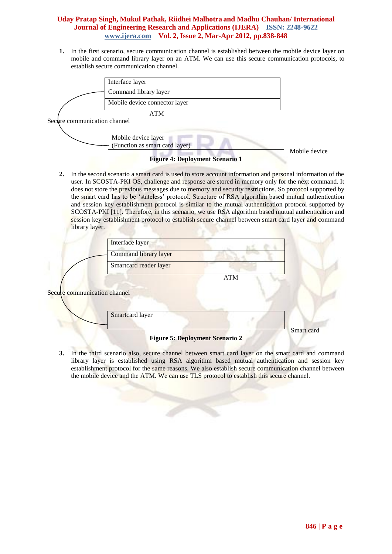**1.** In the first scenario, secure communication channel is established between the mobile device layer on mobile and command library layer on an ATM. We can use this secure communication protocols, to establish secure communication channel.



Secure communication channel



**Figure 4: Deployment Scenario 1**

Mobile device

**2.** In the second scenario a smart card is used to store account information and personal information of the user. In SCOSTA-PKI OS, challenge and response are stored in memory only for the next command. It does not store the previous messages due to memory and security restrictions. So protocol supported by the smart card has to be 'stateless' protocol. Structure of RSA algorithm based mutual authentication and session key establishment protocol is similar to the mutual authentication protocol supported by SCOSTA-PKI [11]. Therefore, in this scenario, we use RSA algorithm based mutual authentication and session key establishment protocol to establish secure channel between smart card layer and command library layer.

|                              | Interface layer        |            |
|------------------------------|------------------------|------------|
|                              | Command library layer  |            |
|                              | Smartcard reader layer |            |
|                              | <b>ATM</b>             |            |
| Secure communication channel |                        |            |
|                              | Smartcard layer        |            |
|                              |                        | Smart card |

**Figure 5: Deployment Scenario 2**

**3.** In the third scenario also, secure channel between smart card layer on the smart card and command library layer is established using RSA algorithm based mutual authentication and session key establishment protocol for the same reasons. We also establish secure communication channel between the mobile device and the ATM. We can use TLS protocol to establish this secure channel.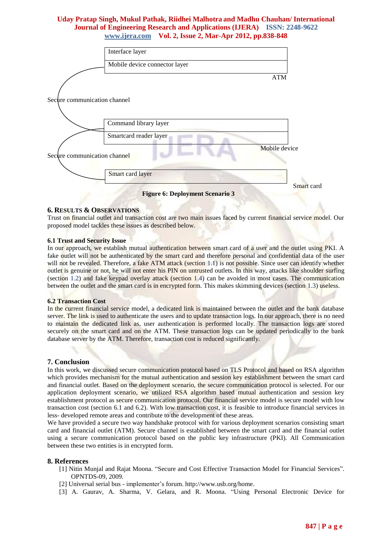|                              | Interface layer                        |            |
|------------------------------|----------------------------------------|------------|
|                              | Mobile device connector layer          |            |
|                              | <b>ATM</b>                             |            |
| Secure communication channel |                                        |            |
|                              | Command library layer                  |            |
|                              | Smartcard reader layer                 |            |
| Secure communication channel | Mobile device                          |            |
|                              | Smart card layer                       |            |
|                              | <b>Figure 6: Deployment Scenario 3</b> | Smart card |

#### **6. RESULTS & OBSERVATIONS**

Trust on financial outlet and transaction cost are two main issues faced by current financial service model. Our proposed model tackles these issues as described below.

#### **6.1 Trust and Security Issue**

In our approach, we establish mutual authentication between smart card of a user and the outlet using PKI. A fake outlet will not be authenticated by the smart card and therefore personal and confidential data of the user will not be revealed. Therefore, a fake ATM attack (section 1.1) is not possible. Since user can identify whether outlet is genuine or not, he will not enter his PIN on untrusted outlets. In this way, attacks like shoulder surfing (section 1.2) and fake keypad overlay attack (section 1.4) can be avoided in most cases. The communication between the outlet and the smart card is in encrypted form. This makes skimming devices (section 1.3) useless.

#### **6.2 Transaction Cost**

In the current financial service model, a dedicated link is maintained between the outlet and the bank database server. The link is used to authenticate the users and to update transaction logs. In our approach, there is no need to maintain the dedicated link as, user authentication is performed locally. The transaction logs are stored securely on the smart card and on the ATM. These transaction logs can be updated periodically to the bank database server by the ATM. Therefore, transaction cost is reduced significantly.

#### **7. Conclusion**

In this work, we discussed secure communication protocol based on TLS Protocol and based on RSA algorithm which provides mechanism for the mutual authentication and session key establishment between the smart card and financial outlet. Based on the deployment scenario, the secure communication protocol is selected. For our application deployment scenario, we utilized RSA algorithm based mutual authentication and session key establishment protocol as secure communication protocol. Our financial service model is secure model with low transaction cost (section 6.1 and 6.2). With low transaction cost, it is feasible to introduce financial services in less- developed remote areas and contribute to the development of these areas.

We have provided a secure two way handshake protocol with for various deployment scenarios consisting smart card and financial outlet (ATM). Secure channel is established between the smart card and the financial outlet using a secure communication protocol based on the public key infrastructure (PKI). All Communication between these two entities is in encrypted form.

#### **8. References**

- [1] Nitin Munjal and Rajat Moona. "Secure and Cost Effective Transaction Model for Financial Services". OPNTDS-09, 2009.
- [2] Universal serial bus implementer"s forum. http://www.usb.org/hom[e.](http://www.usb.org/home)
- [3] A. Gaurav, A. Sharma, V. Gelara, and R. Moona. "Using Personal Electronic Device for